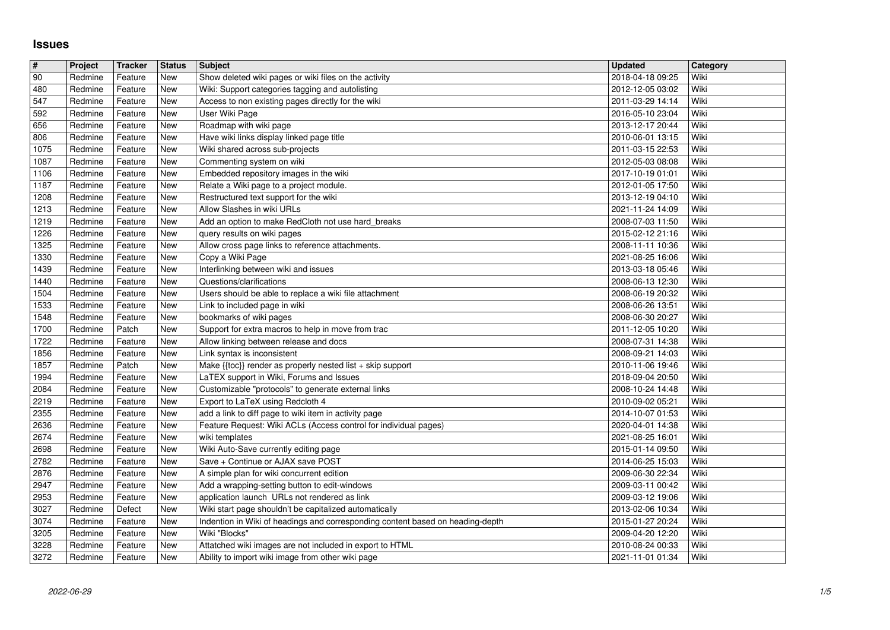## **Issues**

| $\vert$ #    | Project            | Tracker            | <b>Status</b>            | <b>Subject</b>                                                                                         | <b>Updated</b>                       | Category     |
|--------------|--------------------|--------------------|--------------------------|--------------------------------------------------------------------------------------------------------|--------------------------------------|--------------|
| 90           | Redmine            | Feature            | <b>New</b>               | Show deleted wiki pages or wiki files on the activity                                                  | 2018-04-18 09:25                     | Wiki         |
| 480<br>547   | Redmine<br>Redmine | Feature<br>Feature | <b>New</b><br><b>New</b> | Wiki: Support categories tagging and autolisting<br>Access to non existing pages directly for the wiki | 2012-12-05 03:02<br>2011-03-29 14:14 | Wiki<br>Wiki |
| 592          | Redmine            | Feature            | <b>New</b>               | User Wiki Page                                                                                         | 2016-05-10 23:04                     | Wiki         |
| 656          | Redmine            | Feature            | <b>New</b>               | Roadmap with wiki page                                                                                 | 2013-12-17 20:44                     | Wiki         |
| 806          | Redmine            | Feature            | New                      | Have wiki links display linked page title                                                              | 2010-06-01 13:15                     | Wiki         |
| 1075<br>1087 | Redmine<br>Redmine | Feature<br>Feature | <b>New</b><br><b>New</b> | Wiki shared across sub-projects<br>Commenting system on wiki                                           | 2011-03-15 22:53<br>2012-05-03 08:08 | Wiki<br>Wiki |
| 1106         | Redmine            | Feature            | <b>New</b>               | Embedded repository images in the wiki                                                                 | 2017-10-19 01:01                     | Wiki         |
| 1187         | Redmine            | Feature            | <b>New</b>               | Relate a Wiki page to a project module.                                                                | 2012-01-05 17:50                     | Wiki         |
| 1208         | Redmine            | Feature            | <b>New</b>               | Restructured text support for the wiki                                                                 | 2013-12-19 04:10                     | Wiki         |
| 1213<br>1219 | Redmine<br>Redmine | Feature<br>Feature | <b>New</b><br>New        | Allow Slashes in wiki URLs<br>Add an option to make RedCloth not use hard_breaks                       | 2021-11-24 14:09<br>2008-07-03 11:50 | Wiki<br>Wiki |
| 1226         | Redmine            | Feature            | <b>New</b>               | query results on wiki pages                                                                            | 2015-02-12 21:16                     | Wiki         |
| 1325         | Redmine            | Feature            | <b>New</b>               | Allow cross page links to reference attachments.                                                       | 2008-11-11 10:36                     | Wiki         |
| 1330         | Redmine            | Feature            | <b>New</b>               | Copy a Wiki Page                                                                                       | 2021-08-25 16:06                     | Wiki         |
| 1439<br>1440 | Redmine<br>Redmine | Feature<br>Feature | <b>New</b><br><b>New</b> | Interlinking between wiki and issues<br>Questions/clarifications                                       | 2013-03-18 05:46<br>2008-06-13 12:30 | Wiki<br>Wiki |
| 1504         | Redmine            | Feature            | <b>New</b>               | Users should be able to replace a wiki file attachment                                                 | 2008-06-19 20:32                     | Wiki         |
| 1533         | Redmine            | Feature            | <b>New</b>               | Link to included page in wiki                                                                          | 2008-06-26 13:51                     | Wiki         |
| 1548<br>1700 | Redmine<br>Redmine | Feature<br>Patch   | <b>New</b><br><b>New</b> | bookmarks of wiki pages<br>Support for extra macros to help in move from trac                          | 2008-06-30 20:27<br>2011-12-05 10:20 | Wiki<br>Wiki |
| 1722         | Redmine            | Feature            | <b>New</b>               | Allow linking between release and docs                                                                 | 2008-07-31 14:38                     | Wiki         |
| 1856         | Redmine            | Feature            | <b>New</b>               | Link syntax is inconsistent                                                                            | 2008-09-21 14:03                     | Wiki         |
| 1857         | Redmine            | Patch              | <b>New</b>               | Make {{toc}} render as properly nested list + skip support                                             | 2010-11-06 19:46                     | Wiki         |
| 1994<br>2084 | Redmine<br>Redmine | Feature<br>Feature | <b>New</b><br><b>New</b> | LaTEX support in Wiki, Forums and Issues<br>Customizable "protocols" to generate external links        | 2018-09-04 20:50<br>2008-10-24 14:48 | Wiki<br>Wiki |
| 2219         | Redmine            | Feature            | <b>New</b>               | Export to LaTeX using Redcloth 4                                                                       | 2010-09-02 05:21                     | Wiki         |
| 2355         | Redmine            | Feature            | <b>New</b>               | add a link to diff page to wiki item in activity page                                                  | 2014-10-07 01:53                     | Wiki         |
| 2636         | Redmine            | Feature            | <b>New</b>               | Feature Request: Wiki ACLs (Access control for individual pages)                                       | 2020-04-01 14:38                     | Wiki<br>Wiki |
| 2674<br>2698 | Redmine<br>Redmine | Feature<br>Feature | <b>New</b><br><b>New</b> | wiki templates<br>Wiki Auto-Save currently editing page                                                | 2021-08-25 16:01<br>2015-01-14 09:50 | Wiki         |
| 2782         | Redmine            | Feature            | <b>New</b>               | Save + Continue or AJAX save POST                                                                      | 2014-06-25 15:03                     | Wiki         |
| 2876         | Redmine            | Feature            | <b>New</b>               | A simple plan for wiki concurrent edition                                                              | 2009-06-30 22:34                     | Wiki         |
| 2947<br>2953 | Redmine<br>Redmine | Feature<br>Feature | <b>New</b><br><b>New</b> | Add a wrapping-setting button to edit-windows<br>application launch URLs not rendered as link          | 2009-03-11 00:42<br>2009-03-12 19:06 | Wiki<br>Wiki |
| 3027         | Redmine            | Defect             | <b>New</b>               | Wiki start page shouldn't be capitalized automatically                                                 | 2013-02-06 10:34                     | Wiki         |
| 3074         | Redmine            | Feature            | <b>New</b>               | Indention in Wiki of headings and corresponding content based on heading-depth                         | 2015-01-27 20:24                     | Wiki         |
| 3205<br>3228 | Redmine<br>Redmine | Feature<br>Feature | New<br><b>New</b>        | Wiki "Blocks"<br>Attatched wiki images are not included in export to HTML                              | 2009-04-20 12:20<br>2010-08-24 00:33 | Wiki<br>Wiki |
| 3272         | Redmine            | Feature            | New                      | Ability to import wiki image from other wiki page                                                      | 2021-11-01 01:34                     | Wiki         |
|              |                    |                    |                          |                                                                                                        |                                      |              |
|              |                    |                    |                          |                                                                                                        |                                      |              |
|              |                    |                    |                          |                                                                                                        |                                      |              |
|              |                    |                    |                          |                                                                                                        |                                      |              |
|              |                    |                    |                          |                                                                                                        |                                      |              |
|              |                    |                    |                          |                                                                                                        |                                      |              |
|              |                    |                    |                          |                                                                                                        |                                      |              |
|              |                    |                    |                          |                                                                                                        |                                      |              |
|              |                    |                    |                          |                                                                                                        |                                      |              |
|              |                    |                    |                          |                                                                                                        |                                      |              |
|              |                    |                    |                          |                                                                                                        |                                      |              |
|              |                    |                    |                          |                                                                                                        |                                      |              |
|              |                    |                    |                          |                                                                                                        |                                      |              |
|              |                    |                    |                          |                                                                                                        |                                      |              |
|              |                    |                    |                          |                                                                                                        |                                      |              |
|              |                    |                    |                          |                                                                                                        |                                      |              |
|              |                    |                    |                          |                                                                                                        |                                      |              |
|              |                    |                    |                          |                                                                                                        |                                      |              |
|              |                    |                    |                          |                                                                                                        |                                      |              |
|              |                    |                    |                          |                                                                                                        |                                      |              |
|              |                    |                    |                          |                                                                                                        |                                      |              |
|              |                    |                    |                          |                                                                                                        |                                      |              |
|              |                    |                    |                          |                                                                                                        |                                      |              |
|              |                    |                    |                          |                                                                                                        |                                      |              |
|              |                    |                    |                          |                                                                                                        |                                      |              |
|              |                    |                    |                          |                                                                                                        |                                      |              |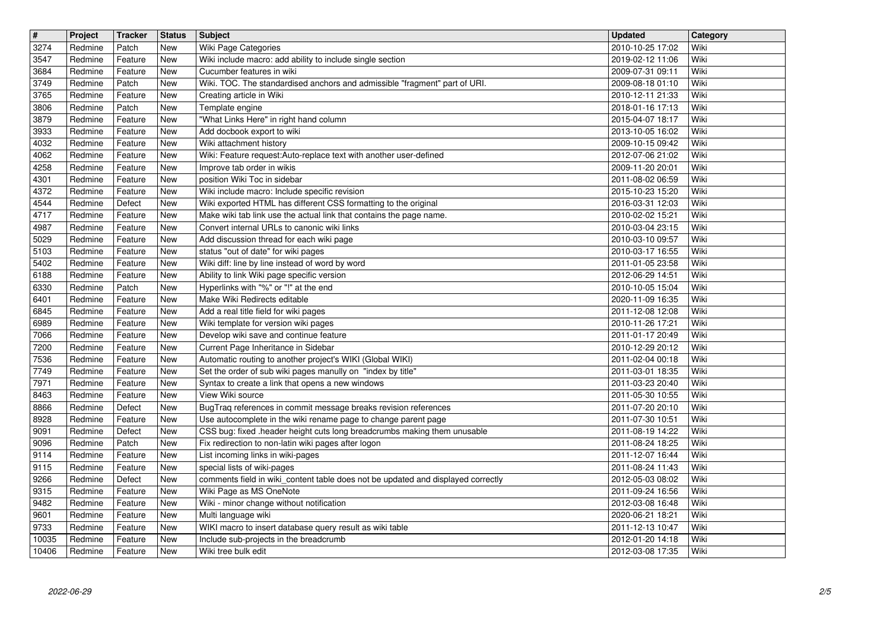| $\sqrt{t}$    | Project            | Tracker            | <b>Status</b>     | <b>Subject</b>                                                                                                                  | Updated                              | Category     |
|---------------|--------------------|--------------------|-------------------|---------------------------------------------------------------------------------------------------------------------------------|--------------------------------------|--------------|
| 3274<br>3547  | Redmine<br>Redmine | Patch<br>Feature   | New<br><b>New</b> | Wiki Page Categories<br>Wiki include macro: add ability to include single section                                               | 2010-10-25 17:02<br>2019-02-12 11:06 | Wiki<br>Wiki |
| 3684<br>3749  | Redmine<br>Redmine | Feature<br>Patch   | <b>New</b><br>New | Cucumber features in wiki<br>Wiki. TOC. The standardised anchors and admissible "fragment" part of URI.                         | 2009-07-31 09:11<br>2009-08-18 01:10 | Wiki<br>Wiki |
| 3765          | Redmine            | Feature            | <b>New</b>        | Creating article in Wiki                                                                                                        | 2010-12-11 21:33                     | Wiki         |
| 3806<br>3879  | Redmine<br>Redmine | Patch<br>Feature   | New<br>New        | Template engine<br>"What Links Here" in right hand column                                                                       | 2018-01-16 17:13<br>2015-04-07 18:17 | Wiki<br>Wiki |
| 3933          | Redmine            | Feature            | New               | Add docbook export to wiki                                                                                                      | 2013-10-05 16:02                     | Wiki         |
| 4032<br>4062  | Redmine<br>Redmine | Feature<br>Feature | New<br>New        | Wiki attachment history<br>Wiki: Feature request: Auto-replace text with another user-defined                                   | 2009-10-15 09:42<br>2012-07-06 21:02 | Wiki<br>Wiki |
| 4258          | Redmine            | Feature            | New               | Improve tab order in wikis                                                                                                      | 2009-11-20 20:01                     | Wiki         |
| 4301<br>4372  | Redmine<br>Redmine | Feature<br>Feature | <b>New</b><br>New | position Wiki Toc in sidebar<br>Wiki include macro: Include specific revision                                                   | 2011-08-02 06:59<br>2015-10-23 15:20 | Wiki<br>Wiki |
| 4544          | Redmine            | Defect             | New               | Wiki exported HTML has different CSS formatting to the original                                                                 | 2016-03-31 12:03                     | Wiki         |
| 4717<br>4987  | Redmine<br>Redmine | Feature<br>Feature | New<br>New        | Make wiki tab link use the actual link that contains the page name.<br>Convert internal URLs to canonic wiki links              | 2010-02-02 15:21<br>2010-03-04 23:15 | Wiki<br>Wiki |
| 5029          | Redmine            | Feature            | New               | Add discussion thread for each wiki page                                                                                        | 2010-03-10 09:57                     | Wiki         |
| 5103<br>5402  | Redmine<br>Redmine | Feature<br>Feature | New<br>New        | status "out of date" for wiki pages<br>Wiki diff: line by line instead of word by word                                          | 2010-03-17 16:55<br>2011-01-05 23:58 | Wiki<br>Wiki |
| 6188          | Redmine            | Feature            | New               | Ability to link Wiki page specific version                                                                                      | 2012-06-29 14:51                     | Wiki         |
| 6330<br>6401  | Redmine<br>Redmine | Patch<br>Feature   | New<br>New        | Hyperlinks with "%" or "!" at the end<br>Make Wiki Redirects editable                                                           | 2010-10-05 15:04<br>2020-11-09 16:35 | Wiki<br>Wiki |
| 6845          | Redmine            | Feature            | New               | Add a real title field for wiki pages                                                                                           | 2011-12-08 12:08                     | Wiki         |
| 6989<br>7066  | Redmine<br>Redmine | Feature<br>Feature | New<br><b>New</b> | Wiki template for version wiki pages<br>Develop wiki save and continue feature                                                  | 2010-11-26 17:21<br>2011-01-17 20:49 | Wiki<br>Wiki |
| 7200          | Redmine            | Feature            | New               | Current Page Inheritance in Sidebar                                                                                             | 2010-12-29 20:12                     | Wiki         |
| 7536<br>7749  | Redmine<br>Redmine | Feature<br>Feature | New<br>New        | Automatic routing to another project's WIKI (Global WIKI)<br>Set the order of sub wiki pages manully on "index by title"        | 2011-02-04 00:18<br>2011-03-01 18:35 | Wiki<br>Wiki |
| 7971          | Redmine            | Feature            | New               | Syntax to create a link that opens a new windows                                                                                | 2011-03-23 20:40                     | Wiki         |
| 8463<br>8866  | Redmine<br>Redmine | Feature<br>Defect  | <b>New</b><br>New | View Wiki source<br>BugTraq references in commit message breaks revision references                                             | 2011-05-30 10:55<br>2011-07-20 20:10 | Wiki<br>Wiki |
| 8928          | Redmine            | Feature            | New               | Use autocomplete in the wiki rename page to change parent page                                                                  | 2011-07-30 10:51                     | Wiki         |
| 9091<br>9096  | Redmine<br>Redmine | Defect<br>Patch    | New<br>New        | CSS bug: fixed .header height cuts long breadcrumbs making them unusable<br>Fix redirection to non-latin wiki pages after logon | 2011-08-19 14:22<br>2011-08-24 18:25 | Wiki<br>Wiki |
| 9114          | Redmine            | Feature            | <b>New</b>        | List incoming links in wiki-pages                                                                                               | 2011-12-07 16:44                     | Wiki         |
| 9115<br>9266  | Redmine<br>Redmine | Feature<br>Defect  | New<br>New        | special lists of wiki-pages<br>comments field in wiki_content table does not be updated and displayed correctly                 | 2011-08-24 11:43<br>2012-05-03 08:02 | Wiki<br>Wiki |
| 9315<br>9482  | Redmine<br>Redmine | Feature<br>Feature | New<br>New        | Wiki Page as MS OneNote<br>Wiki - minor change without notification                                                             | 2011-09-24 16:56                     | Wiki<br>Wiki |
| 9601          | Redmine            | Feature            | <b>New</b>        | Multi language wiki                                                                                                             | 2012-03-08 16:48<br>2020-06-21 18:21 | Wiki         |
| 9733<br>10035 | Redmine<br>Redmine | Feature<br>Feature | New<br>New        | WIKI macro to insert database query result as wiki table<br>Include sub-projects in the breadcrumb                              | 2011-12-13 10:47<br>2012-01-20 14:18 | Wiki<br>Wiki |
| 10406         | Redmine            | Feature            | New               | Wiki tree bulk edit                                                                                                             | 2012-03-08 17:35                     | Wiki         |
|               |                    |                    |                   |                                                                                                                                 |                                      |              |
|               |                    |                    |                   |                                                                                                                                 |                                      |              |
|               |                    |                    |                   |                                                                                                                                 |                                      |              |
|               |                    |                    |                   |                                                                                                                                 |                                      |              |
|               |                    |                    |                   |                                                                                                                                 |                                      |              |
|               |                    |                    |                   |                                                                                                                                 |                                      |              |
|               |                    |                    |                   |                                                                                                                                 |                                      |              |
|               |                    |                    |                   |                                                                                                                                 |                                      |              |
|               |                    |                    |                   |                                                                                                                                 |                                      |              |
|               |                    |                    |                   |                                                                                                                                 |                                      |              |
|               |                    |                    |                   |                                                                                                                                 |                                      |              |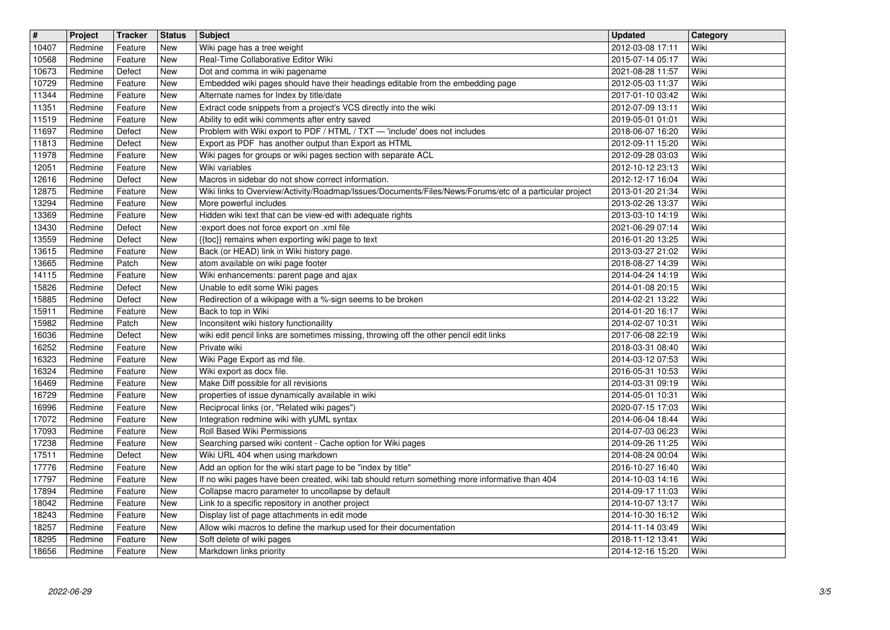| $\overline{\mathbf{H}}$ | Project            | <b>Tracker</b>     | <b>Status</b>            | <b>Subject</b>                                                                                                                                                 | <b>Updated</b><br>2012-03-08 17:11   | Category     |
|-------------------------|--------------------|--------------------|--------------------------|----------------------------------------------------------------------------------------------------------------------------------------------------------------|--------------------------------------|--------------|
| 10407<br>10568          | Redmine<br>Redmine | Feature<br>Feature | New<br>New               | Wiki page has a tree weight<br>Real-Time Collaborative Editor Wiki                                                                                             | 2015-07-14 05:17                     | Wiki<br>Wiki |
| 10673<br>10729          | Redmine<br>Redmine | Defect<br>Feature  | <b>New</b><br><b>New</b> | Dot and comma in wiki pagename<br>Embedded wiki pages should have their headings editable from the embedding page                                              | 2021-08-28 11:57<br>2012-05-03 11:37 | Wiki<br>Wiki |
| 11344                   | Redmine            | Feature            | New                      | Alternate names for Index by title/date                                                                                                                        | 2017-01-10 03:42                     | Wiki         |
| 11351<br>11519          | Redmine<br>Redmine | Feature<br>Feature | New<br><b>New</b>        | Extract code snippets from a project's VCS directly into the wiki<br>Ability to edit wiki comments after entry saved                                           | 2012-07-09 13:11<br>2019-05-01 01:01 | Wiki<br>Wiki |
| 11697                   | Redmine            | Defect             | New                      | Problem with Wiki export to PDF / HTML / TXT - 'include' does not includes                                                                                     | 2018-06-07 16:20                     | Wiki         |
| 11813<br>11978          | Redmine<br>Redmine | Defect<br>Feature  | <b>New</b><br><b>New</b> | Export as PDF has another output than Export as HTML<br>Wiki pages for groups or wiki pages section with separate ACL                                          | 2012-09-11 15:20<br>2012-09-28 03:03 | Wiki<br>Wiki |
| 12051                   | Redmine            | Feature            | <b>New</b>               | Wiki variables                                                                                                                                                 | 2012-10-12 23:13                     | Wiki         |
| 12616<br>12875          | Redmine<br>Redmine | Defect<br>Feature  | <b>New</b><br><b>New</b> | Macros in sidebar do not show correct information.<br>Wiki links to Overview/Activity/Roadmap/Issues/Documents/Files/News/Forums/etc of a particular project   | 2012-12-17 16:04<br>2013-01-20 21:34 | Wiki<br>Wiki |
| 13294                   | Redmine            | Feature            | New                      | More powerful includes                                                                                                                                         | 2013-02-26 13:37                     | Wiki         |
| 13369<br>13430          | Redmine<br>Redmine | Feature<br>Defect  | <b>New</b><br><b>New</b> | Hidden wiki text that can be view-ed with adequate rights<br>:export does not force export on .xml file                                                        | 2013-03-10 14:19<br>2021-06-29 07:14 | Wiki<br>Wiki |
| 13559                   | Redmine            | Defect             | New                      | {{toc}} remains when exporting wiki page to text                                                                                                               | 2016-01-20 13:25                     | Wiki         |
| 13615<br>13665          | Redmine<br>Redmine | Feature<br>Patch   | <b>New</b><br>New        | Back (or HEAD) link in Wiki history page.<br>atom available on wiki page footer                                                                                | 2013-03-27 21:02<br>2018-08-27 14:39 | Wiki<br>Wiki |
| 14115                   | Redmine            | Feature            | New                      | Wiki enhancements: parent page and ajax                                                                                                                        | 2014-04-24 14:19                     | Wiki         |
| 15826<br>15885          | Redmine<br>Redmine | Defect<br>Defect   | New<br><b>New</b>        | Unable to edit some Wiki pages<br>Redirection of a wikipage with a %-sign seems to be broken                                                                   | 2014-01-08 20:15<br>2014-02-21 13:22 | Wiki<br>Wiki |
| 15911                   | Redmine            | Feature            | New                      | Back to top in Wiki                                                                                                                                            | 2014-01-20 16:17                     | Wiki         |
| 15982<br>16036          | Redmine<br>Redmine | Patch<br>Defect    | <b>New</b><br><b>New</b> | Inconsitent wiki history functionaility<br>wiki edit pencil links are sometimes missing, throwing off the other pencil edit links                              | 2014-02-07 10:31<br>2017-06-08 22:19 | Wiki<br>Wiki |
| 16252                   | Redmine            | Feature            | <b>New</b>               | Private wiki                                                                                                                                                   | 2018-03-31 08:40                     | Wiki         |
| 16323<br>16324          | Redmine<br>Redmine | Feature<br>Feature | <b>New</b><br>New        | Wiki Page Export as md file.<br>Wiki export as docx file.                                                                                                      | 2014-03-12 07:53<br>2016-05-31 10:53 | Wiki<br>Wiki |
| 16469                   | Redmine            | Feature            | <b>New</b>               | Make Diff possible for all revisions                                                                                                                           | 2014-03-31 09:19                     | Wiki         |
| 16729<br>16996          | Redmine<br>Redmine | Feature<br>Feature | <b>New</b><br><b>New</b> | properties of issue dynamically available in wiki<br>Reciprocal links (or, "Related wiki pages")                                                               | 2014-05-01 10:31<br>2020-07-15 17:03 | Wiki<br>Wiki |
| 17072                   | Redmine            | Feature            | <b>New</b>               | Integration redmine wiki with yUML syntax                                                                                                                      | 2014-06-04 18:44                     | Wiki         |
| 17093<br>17238          | Redmine<br>Redmine | Feature<br>Feature | <b>New</b><br>New        | Roll Based Wiki Permissions<br>Searching parsed wiki content - Cache option for Wiki pages                                                                     | 2014-07-03 06:23<br>2014-09-26 11:25 | Wiki<br>Wiki |
| 17511                   | Redmine            | Defect             | New                      | Wiki URL 404 when using markdown                                                                                                                               | 2014-08-24 00:04                     | Wiki         |
| 17776<br>17797          | Redmine<br>Redmine | Feature<br>Feature | <b>New</b><br>New        | Add an option for the wiki start page to be "index by title"<br>If no wiki pages have been created, wiki tab should return something more informative than 404 | 2016-10-27 16:40<br>2014-10-03 14:16 | Wiki<br>Wiki |
| 17894                   | Redmine            | Feature            | New<br>New               | Collapse macro parameter to uncollapse by default                                                                                                              | 2014-09-17 11:03                     | Wiki<br>Wiki |
| 18042<br>18243          | Redmine<br>Redmine | Feature<br>Feature | <b>New</b>               | Link to a specific repository in another project<br>Display list of page attachments in edit mode                                                              | 2014-10-07 13:17<br>2014-10-30 16:12 | Wiki         |
| 18257<br>18295          | Redmine<br>Redmine | Feature<br>Feature | New<br>New               | Allow wiki macros to define the markup used for their documentation<br>Soft delete of wiki pages                                                               | 2014-11-14 03:49<br>2018-11-12 13:41 | Wiki<br>Wiki |
| 18656                   | Redmine            | Feature            | New                      | Markdown links priority                                                                                                                                        | 2014-12-16 15:20                     | Wiki         |
|                         |                    |                    |                          |                                                                                                                                                                |                                      |              |
|                         |                    |                    |                          |                                                                                                                                                                |                                      |              |
|                         |                    |                    |                          |                                                                                                                                                                |                                      |              |
|                         |                    |                    |                          |                                                                                                                                                                |                                      |              |
|                         |                    |                    |                          |                                                                                                                                                                |                                      |              |
|                         |                    |                    |                          |                                                                                                                                                                |                                      |              |
|                         |                    |                    |                          |                                                                                                                                                                |                                      |              |
|                         |                    |                    |                          |                                                                                                                                                                |                                      |              |
|                         |                    |                    |                          |                                                                                                                                                                |                                      |              |
|                         |                    |                    |                          |                                                                                                                                                                |                                      |              |
|                         |                    |                    |                          |                                                                                                                                                                |                                      |              |
|                         |                    |                    |                          |                                                                                                                                                                |                                      |              |
|                         |                    |                    |                          |                                                                                                                                                                |                                      |              |
|                         |                    |                    |                          |                                                                                                                                                                |                                      |              |
|                         |                    |                    |                          |                                                                                                                                                                |                                      |              |
|                         |                    |                    |                          |                                                                                                                                                                |                                      |              |
|                         |                    |                    |                          |                                                                                                                                                                |                                      |              |
|                         |                    |                    |                          |                                                                                                                                                                |                                      |              |
|                         |                    |                    |                          |                                                                                                                                                                |                                      |              |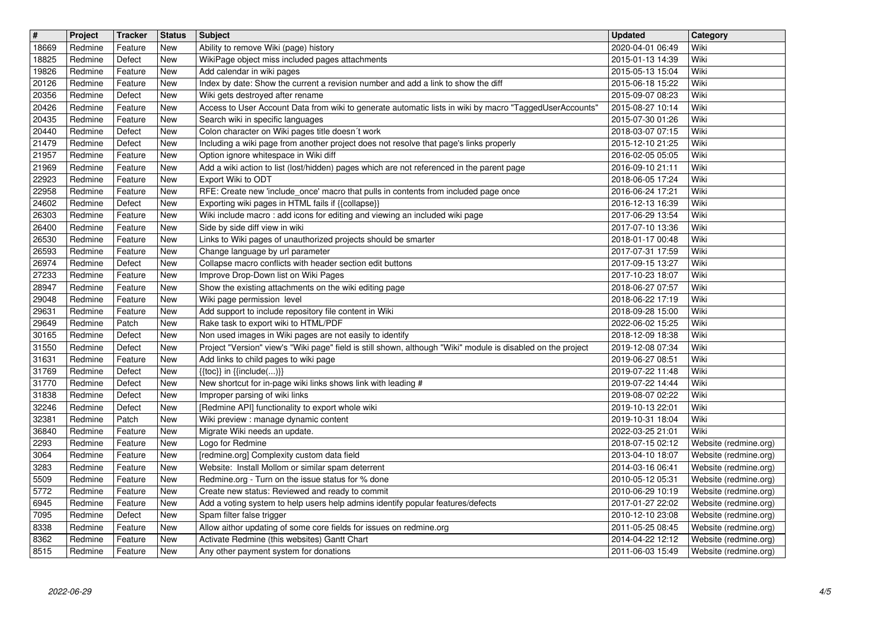| $\sqrt{t}$     | Project            | Tracker            | <b>Status</b>     | <b>Subject</b>                                                                                                                              | <b>Updated</b>                       | Category                                       |
|----------------|--------------------|--------------------|-------------------|---------------------------------------------------------------------------------------------------------------------------------------------|--------------------------------------|------------------------------------------------|
| 18669<br>18825 | Redmine<br>Redmine | Feature<br>Defect  | New<br>New        | Ability to remove Wiki (page) history<br>WikiPage object miss included pages attachments                                                    | 2020-04-01 06:49<br>2015-01-13 14:39 | Wiki<br>Wiki                                   |
| 19826          | Redmine            | Feature            | New               | Add calendar in wiki pages                                                                                                                  | 2015-05-13 15:04                     | Wiki                                           |
| 20126          | Redmine            | Feature            | New               | Index by date: Show the current a revision number and add a link to show the diff                                                           | 2015-06-18 15:22                     | Wiki                                           |
| 20356<br>20426 | Redmine<br>Redmine | Defect<br>Feature  | New<br>New        | Wiki gets destroyed after rename<br>Access to User Account Data from wiki to generate automatic lists in wiki by macro "TaggedUserAccounts" | 2015-09-07 08:23<br>2015-08-27 10:14 | Wiki<br>Wiki                                   |
| 20435          | Redmine            | Feature            | New               | Search wiki in specific languages                                                                                                           | 2015-07-30 01:26                     | Wiki                                           |
| 20440<br>21479 | Redmine<br>Redmine | Defect<br>Defect   | New<br>New        | Colon character on Wiki pages title doesn't work<br>Including a wiki page from another project does not resolve that page's links properly  | 2018-03-07 07:15<br>2015-12-10 21:25 | Wiki<br>Wiki                                   |
| 21957          | Redmine            | Feature            | New               | Option ignore whitespace in Wiki diff                                                                                                       | 2016-02-05 05:05                     | Wiki                                           |
| 21969          | Redmine            | Feature            | New               | Add a wiki action to list (lost/hidden) pages which are not referenced in the parent page                                                   | 2016-09-10 21:11                     | Wiki                                           |
| 22923<br>22958 | Redmine<br>Redmine | Feature<br>Feature | New<br>New        | Export Wiki to ODT<br>RFE: Create new 'include_once' macro that pulls in contents from included page once                                   | 2018-06-05 17:24<br>2016-06-24 17:21 | Wiki<br>Wiki                                   |
| 24602          | Redmine            | Defect             | New               | Exporting wiki pages in HTML fails if {{collapse}}                                                                                          | 2016-12-13 16:39                     | Wiki                                           |
| 26303<br>26400 | Redmine<br>Redmine | Feature<br>Feature | New<br>New        | Wiki include macro: add icons for editing and viewing an included wiki page<br>Side by side diff view in wiki                               | 2017-06-29 13:54<br>2017-07-10 13:36 | Wiki<br>Wiki                                   |
| 26530          | Redmine            | Feature            | New               | Links to Wiki pages of unauthorized projects should be smarter                                                                              | 2018-01-17 00:48                     | Wiki                                           |
| 26593<br>26974 | Redmine<br>Redmine | Feature<br>Defect  | New<br>New        | Change language by url parameter<br>Collapse macro conflicts with header section edit buttons                                               | 2017-07-31 17:59<br>2017-09-15 13:27 | Wiki<br>Wiki                                   |
| 27233          | Redmine            | Feature            | New               | Improve Drop-Down list on Wiki Pages                                                                                                        | 2017-10-23 18:07                     | Wiki                                           |
| 28947<br>29048 | Redmine<br>Redmine | Feature<br>Feature | New<br>New        | Show the existing attachments on the wiki editing page<br>Wiki page permission level                                                        | 2018-06-27 07:57<br>2018-06-22 17:19 | Wiki<br>Wiki                                   |
| 29631          | Redmine            | Feature            | New               | Add support to include repository file content in Wiki                                                                                      | 2018-09-28 15:00                     | Wiki                                           |
| 29649<br>30165 | Redmine<br>Redmine | Patch<br>Defect    | New<br>New        | Rake task to export wiki to HTML/PDF<br>Non used images in Wiki pages are not easily to identify                                            | 2022-06-02 15:25<br>2018-12-09 18:38 | Wiki<br>Wiki                                   |
| 31550          | Redmine            | Defect             | New               | Project "Version" view's "Wiki page" field is still shown, although "Wiki" module is disabled on the project                                | 2019-12-08 07:34                     | Wiki                                           |
| 31631<br>31769 | Redmine<br>Redmine | Feature<br>Defect  | New<br>New        | Add links to child pages to wiki page<br>$\{\{\textsf{toc}\}\}\$ in $\{\{\textsf{include}()\}\}$                                            | 2019-06-27 08:51<br>2019-07-22 11:48 | Wiki<br>Wiki                                   |
| 31770          | Redmine            | Defect             | New               | New shortcut for in-page wiki links shows link with leading #                                                                               | 2019-07-22 14:44                     | Wiki                                           |
| 31838          | Redmine            | Defect             | New               | Improper parsing of wiki links                                                                                                              | 2019-08-07 02:22                     | Wiki<br>Wiki                                   |
| 32246<br>32381 | Redmine<br>Redmine | Defect<br>Patch    | New<br>New        | [Redmine API] functionality to export whole wiki<br>Wiki preview : manage dynamic content                                                   | 2019-10-13 22:01<br>2019-10-31 18:04 | Wiki                                           |
| 36840          | Redmine            | Feature            | New               | Migrate Wiki needs an update.                                                                                                               | 2022-03-25 21:01                     | Wiki                                           |
| 2293<br>3064   | Redmine<br>Redmine | Feature<br>Feature | New<br>New        | Logo for Redmine<br>[redmine.org] Complexity custom data field                                                                              | 2018-07-15 02:12<br>2013-04-10 18:07 | Website (redmine.org)<br>Website (redmine.org) |
| 3283           | Redmine            | Feature            | New               | Website: Install Mollom or similar spam deterrent                                                                                           | 2014-03-16 06:41                     | Website (redmine.org)                          |
| 5509<br>5772   | Redmine<br>Redmine | Feature<br>Feature | New<br>New        | Redmine.org - Turn on the issue status for % done<br>Create new status: Reviewed and ready to commit                                        | 2010-05-12 05:31<br>2010-06-29 10:19 | Website (redmine.org)<br>Website (redmine.org) |
| 6945           | Redmine            | Feature            | New               | Add a voting system to help users help admins identify popular features/defects                                                             | 2017-01-27 22:02                     | Website (redmine.org)                          |
| 7095<br>8338   | Redmine<br>Redmine | Defect<br>Feature  | <b>New</b><br>New | Spam filter false trigger<br>Allow aithor updating of some core fields for issues on redmine.org                                            | 2010-12-10 23:08<br>2011-05-25 08:45 | Website (redmine.org)<br>Website (redmine.org) |
| 8362           | Redmine            | Feature            | New               | Activate Redmine (this websites) Gantt Chart                                                                                                | 2014-04-22 12:12                     | Website (redmine.org)                          |
| 8515           | Redmine            | Feature            | New               | Any other payment system for donations                                                                                                      | 2011-06-03 15:49                     | Website (redmine.org)                          |
|                |                    |                    |                   |                                                                                                                                             |                                      |                                                |
|                |                    |                    |                   |                                                                                                                                             |                                      |                                                |
|                |                    |                    |                   |                                                                                                                                             |                                      |                                                |
|                |                    |                    |                   |                                                                                                                                             |                                      |                                                |
|                |                    |                    |                   |                                                                                                                                             |                                      |                                                |
|                |                    |                    |                   |                                                                                                                                             |                                      |                                                |
|                |                    |                    |                   |                                                                                                                                             |                                      |                                                |
|                |                    |                    |                   |                                                                                                                                             |                                      |                                                |
|                |                    |                    |                   |                                                                                                                                             |                                      |                                                |
|                |                    |                    |                   |                                                                                                                                             |                                      |                                                |
|                |                    |                    |                   |                                                                                                                                             |                                      |                                                |
|                |                    |                    |                   |                                                                                                                                             |                                      |                                                |